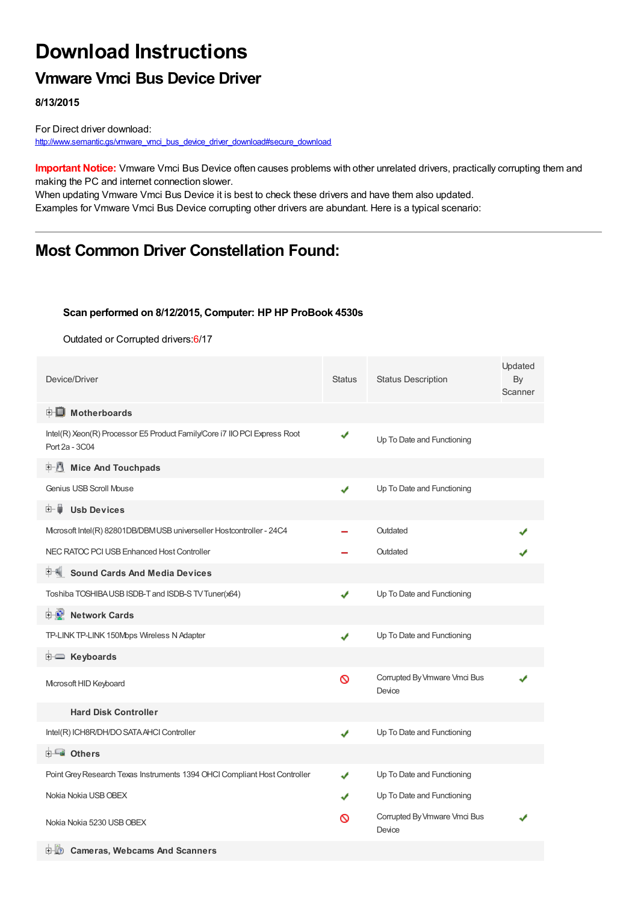# **Download Instructions**

### **Vmware Vmci Bus Device Driver**

**8/13/2015**

For Direct driver download: [http://www.semantic.gs/vmware\\_vmci\\_bus\\_device\\_driver\\_download#secure\\_download](http://www.semantic.gs/vmware_vmci_bus_device_driver_download#secure_download)

**Important Notice:** Vmware Vmci Bus Device often causes problems with other unrelated drivers, practically corrupting them and making the PC and internet connection slower.

When updating Vmware Vmci Bus Device it is best to check these drivers and have them also updated. Examples for Vmware Vmci Bus Device corrupting other drivers are abundant. Here is a typical scenario:

### **Most Common Driver Constellation Found:**

#### **Scan performed on 8/12/2015, Computer: HP HP ProBook 4530s**

Outdated or Corrupted drivers:6/17

| Device/Driver                                                                               | <b>Status</b> | <b>Status Description</b>              | Updated<br>By<br>Scanner |
|---------------------------------------------------------------------------------------------|---------------|----------------------------------------|--------------------------|
| <b>E</b> Motherboards                                                                       |               |                                        |                          |
| Intel(R) Xeon(R) Processor E5 Product Family/Core i7 IIO PCI Express Root<br>Port 2a - 3C04 | ✔             | Up To Date and Functioning             |                          |
| <b>Mice And Touchpads</b><br>E 1                                                            |               |                                        |                          |
| Genius USB Scroll Mouse                                                                     | ✔             | Up To Date and Functioning             |                          |
| 田一尊<br><b>Usb Devices</b>                                                                   |               |                                        |                          |
| Mcrosoft Intel(R) 82801DB/DBMUSB universeller Hostcontroller - 24C4                         |               | Outdated                               |                          |
| NEC RATOC PCI USB Enhanced Host Controller                                                  |               | Outdated                               |                          |
| <b>Sound Cards And Media Devices</b>                                                        |               |                                        |                          |
| Toshiba TOSHIBA USB ISDB-T and ISDB-S TV Tuner(x64)                                         | J             | Up To Date and Functioning             |                          |
| <b>E-D</b> Network Cards                                                                    |               |                                        |                          |
| TP-LINK TP-LINK 150Mbps Wireless N Adapter                                                  | ✔             | Up To Date and Functioning             |                          |
| E Keyboards                                                                                 |               |                                        |                          |
| Microsoft HID Keyboard                                                                      | Ø             | Corrupted By Vmware Vmci Bus<br>Device |                          |
| <b>Hard Disk Controller</b>                                                                 |               |                                        |                          |
| Intel(R) ICH8R/DH/DO SATA AHCI Controller                                                   | ✔             | Up To Date and Functioning             |                          |
| 由 <b>Lu</b> Others                                                                          |               |                                        |                          |
| Point Grey Research Texas Instruments 1394 OHCI Compliant Host Controller                   | ✔             | Up To Date and Functioning             |                          |
| Nokia Nokia USB OBEX                                                                        |               | Up To Date and Functioning             |                          |
| Nokia Nokia 5230 USB OBEX                                                                   | ര             | Corrupted By Vmware Vmci Bus<br>Device |                          |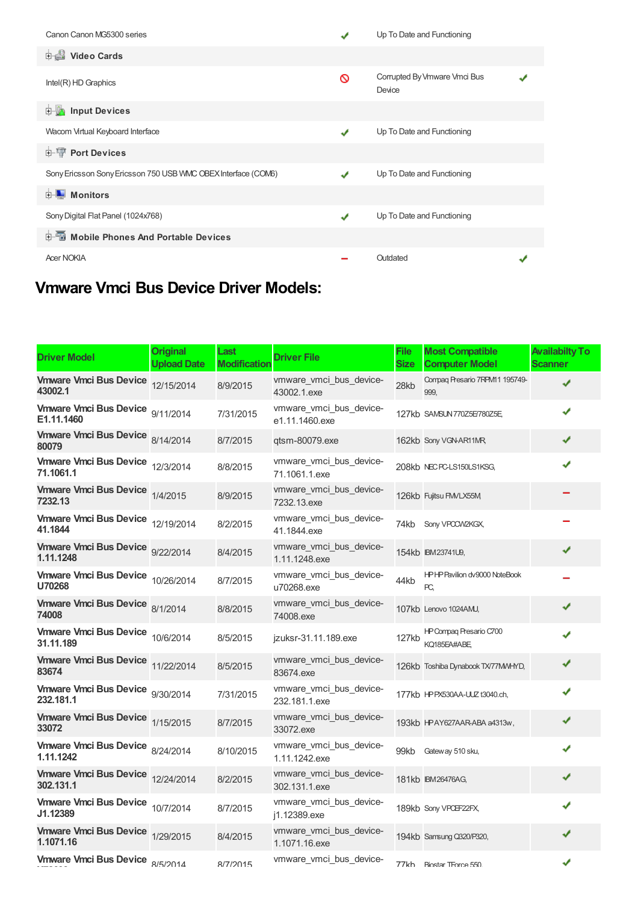| Canon Canon MG5300 series                                     |   | Up To Date and Functioning             |  |
|---------------------------------------------------------------|---|----------------------------------------|--|
| <b>Dideo Cards</b>                                            |   |                                        |  |
| Intel(R) HD Graphics                                          | ଷ | Corrupted By Vmware Vmci Bus<br>Device |  |
| <b>E</b> Input Devices                                        |   |                                        |  |
| Wacom Virtual Keyboard Interface                              | ✔ | Up To Date and Functioning             |  |
| <b>E-</b> Port Devices                                        |   |                                        |  |
| Sony Ericsson Sony Ericsson 750 USB VMC OBEX Interface (COM6) |   | Up To Date and Functioning             |  |
| <b>D</b> Monitors                                             |   |                                        |  |
| Sony Digital Flat Panel (1024x768)                            | J | Up To Date and Functioning             |  |
| <b>Devices</b> Mobile Phones And Portable Devices             |   |                                        |  |
| <b>Acer NOKIA</b>                                             |   | Outdated                               |  |

## **Vmware Vmci Bus Device Driver Models:**

| <b>Driver Model</b>                            | Original<br><b>Upload Date</b> | Last<br><b>Modification</b> | <b>Driver File</b>                        | <b>File</b><br>Size | <b>Most Compatible</b><br><b>Computer Model</b> | <b>Availabilty To</b><br><b>Scanner</b> |
|------------------------------------------------|--------------------------------|-----------------------------|-------------------------------------------|---------------------|-------------------------------------------------|-----------------------------------------|
| Vmware Vmci Bus Device 12/15/2014<br>43002.1   |                                | 8/9/2015                    | vmware vmci bus device-<br>43002.1.exe    | 28kb                | Compaq Presario 7RPM11 195749-<br>999.          | J                                       |
| Vmware Vmci Bus Device 9/11/2014<br>E1.11.1460 |                                | 7/31/2015                   | vmware vmci bus device-<br>e1.11.1460.exe |                     | 127kb SAMSUN 770Z5E/780Z5E                      | ✔                                       |
| Vmware Vmci Bus Device 8/14/2014<br>80079      |                                | 8/7/2015                    | qtsm-80079.exe                            |                     | 162kb Sony VGN-AR11MR                           | ✔                                       |
| Vmware Vmci Bus Device 12/3/2014<br>71.1061.1  |                                | 8/8/2015                    | vmware vmci bus device-<br>71.1061.1.exe  |                     | 208kb NEC PC-LS150LS1KSG.                       | J                                       |
| Vmware Vmci Bus Device 1/4/2015<br>7232.13     |                                | 8/9/2015                    | vmware vmci bus device-<br>7232.13.exe    |                     | 126kb Fujitsu FMVLX55M                          |                                         |
| Vmware Vmci Bus Device 12/19/2014<br>41.1844   |                                | 8/2/2015                    | vmware vmci bus device-<br>41.1844.exe    |                     | 74kb Sony VPCCW2KGX,                            |                                         |
| Vmware Vmci Bus Device 9/22/2014<br>1.11.1248  |                                | 8/4/2015                    | vmware vmci bus device-<br>1.11.1248.exe  |                     | 154kb IBM23741U9,                               |                                         |
| Vmware Vmci Bus Device 10/26/2014<br>U70268    |                                | 8/7/2015                    | vmware vmci bus device-<br>u70268.exe     | 44kb                | HPHP Pavilion dv9000 NoteBook<br>PC.            |                                         |
| Vmware Vmci Bus Device 8/1/2014<br>74008       |                                | 8/8/2015                    | vmware vmci bus device-<br>74008.exe      |                     | 107kb Lenovo 1024AMJ,                           | ✔                                       |
| Vmware Vmci Bus Device 10/6/2014<br>31.11.189  |                                | 8/5/2015                    | jzuksr-31.11.189.exe                      | 127kb               | HP Compaq Presario C700<br>KQ185EA#ABE          | J                                       |
| Vmware Vmci Bus Device 11/22/2014<br>83674     |                                | 8/5/2015                    | vmware vmci bus device-<br>83674.exe      |                     | 126kb Toshiba Dynabook TX/77MMHYD,              | ✔                                       |
| Vmware Vmci Bus Device 9/30/2014<br>232.181.1  |                                | 7/31/2015                   | vmware vmci bus device-<br>232.181.1.exe  |                     | 177kb HPPX530AA-UUZ t3040.ch,                   | ✔                                       |
| Vmware Vmci Bus Device 1/15/2015<br>33072      |                                | 8/7/2015                    | vmware vmci bus device-<br>33072.exe      |                     | 193kb HPAY627AAR-ABA a4313w,                    | ✔                                       |
| Vmware Vmci Bus Device 8/24/2014<br>1.11.1242  |                                | 8/10/2015                   | vmware_vmci_bus_device-<br>1.11.1242.exe  |                     | 99kb Gateway 510 sku,                           | ✔                                       |
| Vmware Vmci Bus Device 12/24/2014<br>302.131.1 |                                | 8/2/2015                    | vmware_vmci_bus_device-<br>302.131.1.exe  |                     | 181kb IBM26476AG,                               | ✔                                       |
| Vmware Vmci Bus Device 10/7/2014<br>J1.12389   |                                | 8/7/2015                    | vmware_vmci_bus_device-<br>j1.12389.exe   |                     | 189kb Sony VPCEF22FX,                           | ✔                                       |
| Vmware Vmci Bus Device 1/29/2015<br>1.1071.16  |                                | 8/4/2015                    | vmware vmci bus device-<br>1.1071.16.exe  |                     | 194kb Samsung Q320/P320,                        | ✔                                       |
| Vmware Vmci Bus Device 8/5/2014                |                                | 8/7/2015                    | vmware_vmci_bus_device-                   |                     | 77kh Biostar TForce 550                         | ✔                                       |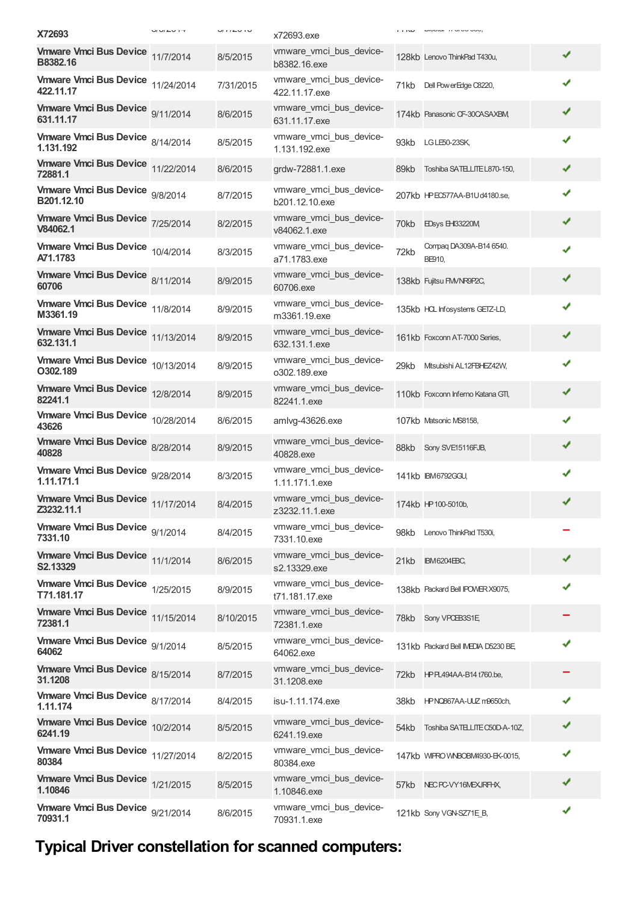| X72693                                          | $-1$ | $u$ $i$ $i \in V$ $i \cup v$ | x72693.exe                                | 1.1W | <b>LAVORAL TEVEVO ODV</b>           |   |
|-------------------------------------------------|------|------------------------------|-------------------------------------------|------|-------------------------------------|---|
| Vmware Vmci Bus Device 11/7/2014<br>B8382.16    |      | 8/5/2015                     | vmware_vmci_bus_device-<br>b8382.16.exe   |      | 128kb Lenovo ThinkPad T430u,        | ✔ |
| Vmware Vmci Bus Device 11/24/2014<br>422.11.17  |      | 7/31/2015                    | vmware_vmci_bus_device-<br>422.11.17.exe  |      | 71kb Dell PowerEdge C8220,          | ✔ |
| Vmware Vmci Bus Device 9/11/2014<br>631.11.17   |      | 8/6/2015                     | vmware_vmci_bus_device-<br>631.11.17.exe  |      | 174kb Panasonic CF-30CASAXBM,       | ✔ |
| Vmware Vmci Bus Device 8/14/2014<br>1.131.192   |      | 8/5/2015                     | vmware_vmci_bus_device-<br>1.131.192.exe  |      | 93kb LGLE50-23SK,                   | ✔ |
| Vmware Vmci Bus Device 11/22/2014<br>72881.1    |      | 8/6/2015                     | grdw-72881.1.exe                          | 89kb | Toshiba SATELLITE L870-150,         | ✔ |
| Vmware Vmci Bus Device 9/8/2014<br>B201.12.10   |      | 8/7/2015                     | vmware_vmci_bus_device-<br>b201.12.10.exe |      | 207kb HPEC577AA-B1Ud4180.se,        | ✔ |
| Vmware Vmci Bus Device 7/25/2014<br>V84062.1    |      | 8/2/2015                     | vmware_vmci_bus_device-<br>v84062.1.exe   |      | 70kb EDsys EH33220M                 | ✔ |
| Vmware Vmci Bus Device 10/4/2014<br>A71.1783    |      | 8/3/2015                     | vmware vmci bus device-<br>a71.1783.exe   | 72kb | Compaq DA309A-B14 6540.<br>BE910,   | ✔ |
| Vmware Vmci Bus Device 8/11/2014<br>60706       |      | 8/9/2015                     | vmware_vmci_bus_device-<br>60706.exe      |      | 138kb Fujitsu FM/NR9P2C,            | ✔ |
| Vmware Vmci Bus Device 11/8/2014<br>M3361.19    |      | 8/9/2015                     | vmware_vmci_bus_device-<br>m3361.19.exe   |      | 135kb HCL Infosystems GETZ-LD,      | ✔ |
| Vmware Vmci Bus Device 11/13/2014<br>632.131.1  |      | 8/9/2015                     | vmware_vmci_bus_device-<br>632.131.1.exe  |      | 161kb Foxconn AT-7000 Series,       | ✔ |
| Vmware Vmci Bus Device 10/13/2014<br>O302.189   |      | 8/9/2015                     | vmware_vmci_bus_device-<br>o302.189.exe   | 29kb | Mtsubishi AL12FBHEZ42W,             | ✔ |
| Vmware Vmci Bus Device 12/8/2014<br>82241.1     |      | 8/9/2015                     | vmware_vmci_bus_device-<br>82241.1.exe    |      | 110kb Foxconn Inferno Katana GTI,   | ✔ |
| Vmware Vmci Bus Device 10/28/2014<br>43626      |      | 8/6/2015                     | amlvg-43626.exe                           |      | 107kb Matsonic MS8158,              | ✔ |
| Vmware Vmci Bus Device 8/28/2014<br>40828       |      | 8/9/2015                     | vmware_vmci_bus_device-<br>40828.exe      |      | 88kb Sony SVE15116FJB,              | ✔ |
| Vmware Vmci Bus Device 9/28/2014<br>1.11.171.1  |      | 8/3/2015                     | vmware_vmci_bus_device-<br>1.11.171.1.exe |      | 141kb IBM6792GGU,                   | ✔ |
| Vmware Vmci Bus Device 11/17/2014<br>Z3232.11.1 |      | 8/4/2015                     | vmware_vmci_bus_device-<br>z3232.11.1.exe |      | 174kb HP 100-5010b,                 |   |
| Vmware Vmci Bus Device 9/1/2014<br>7331.10      |      | 8/4/2015                     | vmware_vmci_bus_device-<br>7331.10.exe    |      | 98kb Lenovo ThinkPad T530i,         |   |
| Vmware Vmci Bus Device 11/1/2014<br>S2.13329    |      | 8/6/2015                     | vmware_vmci_bus_device-<br>s2.13329.exe   |      | 21kb IBM6204EBC,                    | ✔ |
| Vmware Vmci Bus Device 1/25/2015<br>T71.181.17  |      | 8/9/2015                     | vmware vmci bus device-<br>t71.181.17.exe |      | 138kb Packard Bell IPOWER X9075,    | ✔ |
| Vmware Vmci Bus Device 11/15/2014<br>72381.1    |      | 8/10/2015                    | vmware_vmci_bus_device-<br>72381.1.exe    |      | 78kb Sony VPCEB3S1E,                |   |
| Vmware Vmci Bus Device 9/1/2014<br>64062        |      | 8/5/2015                     | vmware_vmci_bus_device-<br>64062.exe      |      | 131kb Packard Bell IMEDIA D5230 BE, | ✔ |
| Vmware Vmci Bus Device 8/15/2014<br>31.1208     |      | 8/7/2015                     | vmware_vmci_bus_device-<br>31.1208.exe    |      | 72kb HP PL494AA-B14 t760.be,        |   |
| Vmware Vmci Bus Device 8/17/2014<br>1.11.174    |      | 8/4/2015                     | isu-1.11.174.exe                          | 38kb | HPNQ867AA-UUZ m9650ch,              | ✔ |
| Vmware Vmci Bus Device 10/2/2014<br>6241.19     |      | 8/5/2015                     | vmware_vmci_bus_device-<br>6241.19.exe    |      | 54kb Toshiba SATELLITE C50D-A-10Z,  | ✔ |
| Vmware Vmci Bus Device 11/27/2014<br>80384      |      | 8/2/2015                     | vmware_vmci_bus_device-<br>80384.exe      |      | 147kb WIPRO WNBOBM4930-EK-0015,     | ✔ |
| Vmware Vmci Bus Device 1/21/2015<br>1.10846     |      | 8/5/2015                     | vmware_vmci_bus_device-<br>1.10846.exe    |      | 57kb NECPC-VY16MEXJRFHX,            | ✔ |
| Vmware Vmci Bus Device 9/21/2014<br>70931.1     |      | 8/6/2015                     | vmware_vmci_bus_device-<br>70931.1.exe    |      | 121kb Sony VGN-SZ71E_B,             | ✔ |

## **Typical Driver constellation for scanned computers:**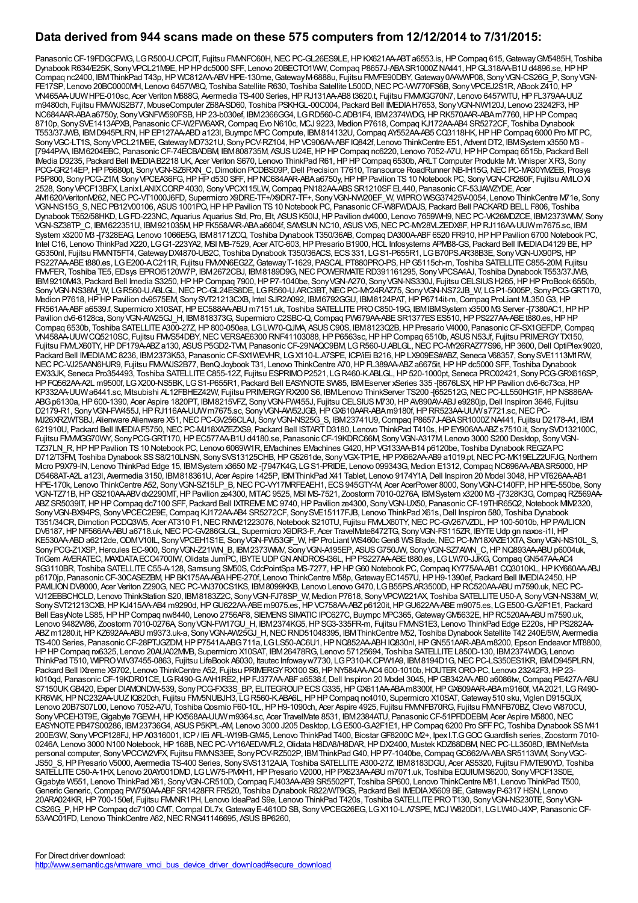#### **Data derived from 944 scans made on these 575 computers from 12/12/2014 to 7/31/2015:**

Panasonic CF-19FDGCFWG, LG R500-U.CPCIT, Fujitsu FMMFC60H, NEC PC-GL26ES9LE, HP KX621AA-ABT a6553.is, HP Compaq 615, Gateway GM5485H, Toshiba Dynabook R634/E25K, Sony VPCL21M9E, HP HP dc5000 SFF, Lenovo 20BECTO1VWV, Compaq P8657J-ABA SR1000ZNA441, HP GL318AA-B1U d4896.se, HP HP Compaq nc2400, IBMThinkPad T43p,HP WC812AA-ABVHPE-130me,GatewayM-6888u, Fujitsu FMVFE90DBY,Gateway0AAVWP08, SonyVGN-CS26G\_P, SonyVGN-FE17SP, Lenovo 20BC0000MH, Lenovo 6457W8Q, Toshiba Satellite R630, Toshiba Satellite L500D, NEC PC-VW770FS6B, Sony VPCEJ2S1R, ABook Z410, HP VN465AA-UUW HPE-010sc, Acer Veriton M688G, Avermedia TS-400 Series, HP RJ131AA-AB8 t3620.t, Fujitsu FMM/GG70N7, Lenovo 6457WTU, HP FL379AA-UUZ m9480ch, Fujitsu FMVWJS2B77, MouseComputer Z68A-SD60, Toshiba PSKHGL-00C004, Packard Bell IMEDIAH7653, SonyVGN-NW120J, Lenovo 23242F3,HP NC684AAR-ABAa6750y, SonyVGNFW590FSB,HP23-b030ef, IBM2366GG4, LGRD560-C.ADB1F4, IBM2374WDG,HPRK570AAR-ABAm7760,HPHPCompaq 8710p, SonySVE1413APXB, PanasonicCF-W2FW6AXR,Compaq Evo N610c, MCJ 9223, Medion P7618,Compaq KJ172AA-AB4 SR5272CF, Toshiba Dynabook T553/37JWB, IBMD945PLRN,HPEP127AA-ABDa123l, Buympc MPCCompute, IBM814132U,Compaq AY552AA-AB5 CQ3118HK,HPHPCompaq 6000 Pro MTPC, Sony VGC-LT1S, Sony VPCL21M9E, Gateway MD7321U, Sony PCV-RZ104, HP VC906AA-ABF IQ842f, Lenovo ThinkCentre E51, Advent DT2, IBM System x3550 M3 [7944PAA, IBM6204EBC, PanasonicCF-74ECBADBM, IBM808735M, ASUSU24E,HPHPCompaq nc6220, Lenovo 7052-A7U,HPHPCompaq 6515b, Packard Bell IMedia D9235, Packard Bell IMEDIAB2218 UK, Acer Veriton S670, Lenovo ThinkPad R61,HPHPCompaq 6530b, ARLTComputer Produkte Mr. Whisper XR3, Sony PCG-GR214EP, HP P6680pt, Sony VGN-SZ6RXN\_C, Dimotion PCDBS09P, Dell Precision T7610, Transource RoadRunner NB-IH15G, NEC PC-MA30YMZEB, Prosys P5P800, Sony PCG-Z1M, Sony VPCEA36FG, HP HP d530 SFF, HP NC684AAR-ABA a6750y, HP HP Pavilion TS 10 Notebook PC, Sony VGN-CR260F, Fujitsu AMLO Xi 2528, SonyVPCF13BFX, LanixLANIXCORP4030, SonyVPCX115LW,Compaq PN182AA-ABSSR1210SFEL440, PanasonicCF-53JAWZYDE, Acer AM1620/VeritonM262,NECPC-VT1000J6FD, Supermicro X9DRE-TF+/X9DR7-TF+, SonyVGN-NW20EF\_W, WIPROWSG37425V-0054, Lenovo ThinkCentre M71e, Sony VGN-NS15G\_S, NEC PB12V00106, ASUS 1001PQ, HP HP Pavilion TS 10 Notebook PC, Panasonic CF-W8FWDAJS, Packard Bell PACKARD BELL F806, Toshiba Dynabook T552/58HKD, LG FD-223NC, Aquarius Aquarius Std, Pro, Elt, ASUS K50IJ, HP Pavilion dv4000, Lenovo 7659WH9, NEC PC-VK26MDZCE, IBM2373WMV, Sony VGN-SZ38TP\_C, IBM622351U, IBM921035M,HPFK558AAR-ABAa6604f, SAMSUNNC10, ASUSVX5,NECPC-MY28VLZEDX8F,HPRJ116AA-UUWm7675.sc, IBM System x3200 M3-[7328EAG, Lenovo 1066E5G, IBM8171ZCQ, Toshiba Dynabook T350/36AB, Compaq DA300A-ABF6520 FR910, HP HP Pavilion 6700 Notebook PC, Intel C16, Lenovo ThinkPad X220, LGG1-223YA2, MSI MB-7529, Acer ATC-603,HPPresario B1900,HCL Infosystems APM88-GS, Packard Bell IMEDIAD4129 BE,HP G5350nl, Fujitsu FMVNT5FT4,GatewayDX4870-UB2C, Toshiba Dynabook T350/36ACS, ECS331, LGS1-P655R1, LGB70PS.AR38B3E, SonyVGN-UX90PS,HP PS227AA-ABE t880.es, LG E200-AC211R, Fujitsu FMVXN6EG2Z, Gateway T-1629, PASCAL PT880PRO-PS, HP G5115ch-m, Toshiba SATELLITE C855-20M, Fujitsu FMVFER, Toshiba TE5, EDsys EPROI5120W7P, IBM2672CBJ, IBM8189D9G,NECPOWERMATERD391161295, SonyVPCSA4AJ, Toshiba Dynabook T553/37JWB, IBM9210M43, Packard Bell Imedia S3250,HPHPCompaq 7900,HPP7-1040be, SonyVGN-A270, SonyVGN-NS330J, Fujitsu CELSIUSH265,HPHPProBook 6550b, SonyVGN-NS38M\_W, LGR560-U.ABLGL, NEC PC-GL24ES8DE, LGR560-U.ARC3BT, NEC PC-MY24RAZ75, SonyVGN-NS72JB\_W, LGP1-5005P, SonyPCG-GRT170, Medion P7618, HP HP Pavilion dv9575EM, Sony SVT21213CXB, Intel SJR2A092, IBM6792GGU, IBM8124PAT, HP P6714it-m, Compaq ProLiant ML350 G3, HP FR561AA-ABFa6539.f, Supermicro X10SAT, HP EC588AA-ABU m7151.uk, Toshiba SATELLITE PRO C850-19G, IBMIBMSystem x3500 M3 Server -[7380AC1, HP HP Pavilion dv6-6128ca, Sony VGN-AW25GJ\_H, IBM818373G, Supermicro C2SBC-Q, Compaq PW679AA-ABE SR1377ES ES510, HP PS227AA-ABE t880.es, HP HP Compaq 6530b, Toshiba SATELLITE A300-27Z, HP 800-050ea, LG LW70-QJMA, ASUS C90S, IBM8123Q2B, HP Presario V4000, Panasonic CF-SX1GEFDP, Compaq VN458AA-UUWCQ5210SC, Fujitsu FMVS54DBY,NECVERSAE6300 RNF41103088,HPP6563sc,HPHPCompaq 6510b, ASUSN53Jf, Fujitsu PRIMERGYTX150, Fujitsu FMMLX60TY, HP DF179A-ABZ a130, ASUS P5GD2-TM, Panasonic CF-29NAQC9BM, LG R560-U.ABLGL, NEC PC-MY26RAZ77S96, HP3600, Dell OptiPlex9020, Packard Bell IMEDIAMC 8236, IBM 2373K53, Panasonic CF-SX1WEVHR, LGX110-L.A7SPE, ICP/IEi B216, HP LX909ES#ABZ, Seneca V68357, Sony SVE1113M1RW, NEC PC-VJ25AAN6HJR9, Fujitsu FMWVJS2B77, BenQ Joybook T31, Lenovo ThinkCentre A70, HP FL389AA-ABZ a6675it, HP HP dc5000 SFF, Toshiba Dynabook EX/33JK, Seneca Pro354493, Toshiba SATELLITEC855-12Z, Fujitsu ESPRIMOP2521, LGR460-K.ABLGL,HP520-1000pt, Seneca PRO02421, SonyPCG-GRX616SP, HPFQ562AA-A2L m9500f, LGX200-NS5BK, LGS1-P655R1, Packard Bell EASYNOTESW85, IBMEserver xSeries 335 -[8676LSX,HPHPPavilion dv6-6c73ca,HP KP332AA-UUWa6441.sc, Mitsubishi AL12FBHEZ42W, Fujitsu PRIMERGYRX200 S6, IBMLenovo ThinkServer TS200 -[652512G, NEC PC-LL550HG1F, HP NS886AA-ABGp6130a,HP600-1390, Acer Aspire 1820PT, IBM8215VFZ, SonyVGN-FW455J, Fujitsu CELSIUSM730,HPAV890AV-ABJ e9280jp,Dell Inspiron 3646, Fujitsu D2179-R1, SonyVGN-FW455J,HPRJ116AA-UUWm7675.sc, SonyVGN-AW52JGB,HPGX610AAR-ABAm9180f,HPRR523AA-UUWs7721.sc,NECPC-MJ26XRZWTSBJ, Alienware Alienware X51,NECPC-GV256CLAJ, SonyVGN-NS25G\_S, IBM23741U9,Compaq P8657J-ABASR1000ZNA441, Fujitsu D2178-A1, IBM 621910U, Packard Bell IMEDIAF5750, NEC PC-MJ18XAZEZXS9, Packard Bell ISTART D3180, Lenovo ThinkPad T410s, HP EY906AA-ABZ s7510.it, Sony SVD132100C, Fujitsu FMVMGG70WY, SonyPCG-GRT170,HPEC577AA-B1Ud4180.se, PanasonicCF-19KDRC66M, SonyVGN-A317M, Lenovo 3000 S200 Desktop, SonyVGN-TZ37LN\_R,HPHPPavilion TS10 Notebook PC, Lenovo 6069W1R, EMachines EMachines G420,HPVG133AA-B14 p6120be, Toshiba DynabookREGZAPC D712/T3FM, Toshiba Dynabook SS S8/210LNSN, Sony SVS13125CHB, HP G5261de, Sony VGX-TP1E, HP PX662AA-AB9 a1019.pt, NEC PC-MK19ELZ2UFJG, Northern Mcro P9X79-IN, Lenovo ThinkPad Edge 15, IBMSystem x3650 M2-J7947K4G, LGS1-PRIDE, Lenovo 099343G, Medion E1312, Compaq NC696AA-ABASR5000, HP D5468AT-A2L a123l, Avermedia 3150, IBM818361U, Acer Aspire 1425P, IBMThinkPad X41 Tablet, Lenovo 9174Y1A, Dell Inspiron 20 Model 3048, HP VT626AA-AB1 HPE-170k, Lenovo ThinkCentre A52, Sony VGN-SZ15LP\_B, NEC PC-VY17MRFEAEH1, ECS 945GTY-M, Acer AcerPower 8000, Sony VGN-C140FP, HP HPE-550be, Sony VGN-TZ71B,HPGS210AA-ABVdx2290MT,HPPavilion ze4300, MiTAC9525, MSI MS-7521, Zoostorm 7010-0276A, IBMSystem x3200 M3 -[7328K3G,Compaq RZ569AA-ABZSR5039IT,HPHPCompaq dc7100 SFF, Packard Bell IXTREMEMC9740,HPPavilion ze4300, SonyVGN-UX50, PanasonicCF-19THR65Q2,Notebook MIM2320, Sony VGN-BX94PS, Sony VPCEC2E9E, Compaq KJ172AA-AB4 SR5272CF, Sony SVE15117FJB, Lenovo ThinkPad X61s, Dell Inspiron 580, Toshiba Dynabook T351/34CR, Dimotion PCDQ3W5, Acer AT310 F1, NEC RNM21223076, Notebook S210TU, Fujitsu FMMLX60TY, NEC PC-GV267VZDL, HP 100-5010b, HP PAVILION DV6187, HP NF566AA-ABU a6718.uk, NEC PC-GV286GLGL, Supermicro X9DR3-F, Acer TravelMate8472TG, Sony VGN-FS115ZR, IBYTE Udp gn naxos-i1l, HP KE530AA-ABD a6212de, ODMV10IL, Sony VPCEH1S1E, Sony VGN-FW53GF\_W, HP ProLiant WS460c Gen8 WS Blade, NEC PC-MY18XAZE1XTA, Sony VGN-NS10L\_S, Sony PCG-Z1XSP, Hercules EC-900, Sony VGN-Z21WN\_B, IBM2373WMV, Sony VGN-A195EP, ASUS G750JW, Sony VGN-SZ7AWN\_C, HP NQ893AA-ABU p6004uk, TriGem AVERATEC, MAXDATA ECO4700IW, Olidata JumPC, IBYTE UDP GN ANDROS-I36L, HP PS227AA-ABEt880.es, LG LW70-JJKG, Compaq GN547AA-AC4 SG3110BR, Toshiba SATELLITEC55-A-128, Samsung SM50S,CdcPointSpa MS-7277,HPHPG60 Notebook PC,Compaq KY775AA-AB1 CQ3010KL,HPKY660AA-ABJ p6170jp, Panasonic CF-30CASEZBM, HP BK175AA-ABA HPE-270f, Lenovo ThinkCentre M58p, Gateway EC1457U, HP H9-1390ef, Packard Bell IMEDIA 2450, HP PAVILION DV8000, Acer Veriton Z290G, NEC PC-VN370CS1KS, IBM8099KKB, Lenovo Lenovo G470, LGB55PS.AR3500D, HPRC520AA-ABU m7590.uk, NECPC-VJ12EBBCHCLD, Lenovo ThinkStation S20, IBM8183Z2C, SonyVGN-FJ78SP\_W, Medion P7618, SonyVPCW221AX, Toshiba SATELLITEU50-A, SonyVGN-NS38M\_W, SonySVT21213CXB,HPKJ415AA-AB4 m9290d,HPGU622AA-ABEm9075.es,HPVC758AA-ABZp6120it,HPGU622AA-ABEm9075.es, LGE500-G.A2F1E1, Packard Bell EasyNote LS85, HP HP Compaq nw8440, Lenovo 2756AF8, SIEMENS SIMATIC IPC627C, Buympc MPC365, Gateway GM5632E, HP RC520AA-ABU m7590.uk, Lenovo 9482W86, Zoostorm 7010-0276A, Sony VGN-FW17GU\_H, IBM2374KG5, HP SG3-335FR-m, Fujitsu FMMS1E3, Lenovo ThinkPad Edge E220s, HP PS282AA-ABZm1280.it,HPKZ692AA-ABU m9373.uk-a, SonyVGN-AW25GJ\_H,NECRND51048395, IBMThinkCentre M52, Toshiba Dynabook Satellite T42 240E/5W, Avermedia TS-400 Series, PanasonicCF-28PTJGZDM,HPP7541A-ABG711a, LGLS50-AC6U1,HPNQ852AA-ABHIQ830nl,HPGN551AAR-ABAm8200, Epson Endeavor MT8800, HPHPCompaq nx6325, Lenovo 20AUA02MMB, Supermicro X10SAT, IBM26478RG, Lenovo 57125694, Toshiba SATELLITEL850D-130, IBM2374WDG, Lenovo ThinkPad T510, WIPROWIV37455-0863, Fujitsu LifeBook A6030, Itautec Infowayw7730, LGP310-K.CPW1A9, IBM8194D1G,NECPC-LS350ES1KR, IBMD945PLRN, Packard Bell IXtreme X9702, Lenovo ThinkCentre A52, Fujitsu PRIMERGYRX100 S6, HP NY584AA-AC4 600-1010b, HOUTER ORO-PC, Lenovo 23242F3, HP 23k010qd, Panasonic CF-19KDR01CE, LG R490-G.AAH1RE2, HP FJ377AA-ABF a6538.f, Dell Inspiron 20 Model 3045, HP GB342AA-AB0 a6086tw, Compaq PE427A-ABU S7150UKGB420, Exper DIAMONDW-539, Sony PCG-FX33S\_BP, ELITEGROUP ECS G335, HP GX611AA-ABAm8300f, HP GX609AAR-ABAm9160f, VIA2021, LG R490-KR6WK, HP NC232AA-UUZ IQ820ch, Fujitsu FMV5NUBJH3, LG R560-K.ABA6L, HP HP Compaq nc4010, Supermicro X10SAT, Gateway 510 sku, Viglen D915GUX, Lenovo 20B7S07L00, Lenovo 7052-A7U, ToshibaQosmio F60-10L,HPH9-1090ch, Acer Aspire 4925, Fujitsu FMVNFB70RG, Fujitsu FMVNFB70BZ,Clevo W870CU, Sony VPCEH3T9E, Gigabyte 7GEWH, HP KX568AA-UUW m9364.sc, Acer TravelMate 8531, IBM 2384ATU, Panasonic CF-51PFDDEBM, Acer Aspire M5800, NEC EASYNOTE PB47S00286, IBM23736G4, ASUS P5KPL-AM, Lenovo 3000 J205 Desktop, LG E500-G.A2F1E1, HP Compaq 6200 Pro SFF PC, Toshiba Dynabook SS M41 200E/3W, SonyVPCF128FJ,HPA0316001, ICP/ IEi AFL-W19B-GM45, Lenovo ThinkPad T400, BiostarGF8200C M2+, IpexI.T.GGOCGuardfish series, Zoostorm 7010- 0246A, Lenovo 3000 N100 Notebook, HP 168B, NEC PC-VY16AEDAVFL2, Olidata H8DA8/H8DAR, HP DX2400, Mustek KDZ68DBM, NEC PC-LL3508D, IBM NetVista personal computer, Sony VPCCW2VFX, Fujitsu FMMS3EE, Sony PCV-RZ502P, IBMThinkPad G40, HP P7-1040be, Compaq GC662AA-ABA SR5113WM, Sony VGC-JS50\_S, HP Presario V5000, Avermedia TS-400 Series, Sony SVS1312AJA, Toshiba SATELLITE A300-27Z, IBM8183DGU, Acer AS5320, Fujitsu FMVTE90YD, Toshiba SATELLITEC50-A-1HX, Lenovo 20AY001DMD, LGLW75-PMXH1,HPPresario V2000,HPPX623AA-ABU m7071.uk, Toshiba EQUIUMS6200, SonyVPCF13S0E, Gigabyte W551, Lenovo ThinkPad X61, SonyVGN-CR510D,Compaq FJ403AA-AB9 SR5502PT, Toshiba SP600, Lenovo ThinkCentre M81, Lenovo ThinkPad T500, Generic Generic, Compaq PW750AA-ABF SR1428FR FR520, Toshiba Dynabook R822/WT9GS, Packard Bell IMEDIAX5609 BE, Gateway P-6317 HSN, Lenovo 20ARA024KR,HP700-150ef, Fujitsu FMVNR1PH, Lenovo IdeaPad S9e, Lenovo ThinkPad T420s, Toshiba SATELLITEPROT130, SonyVGN-NS230TE, SonyVGN-CS26G\_P,HPHPCompaq dc7100 CMT,Compal DL7x,GatewayE-4610DSB, SonyVPCEG26EG, LGX110-L.A7SPE, MCJ W820Di1, LGLW40-J4XP, PanasonicCF-53AAC01FD, Lenovo ThinkCentre A62, NEC RNG41146695, ASUS BP6260,